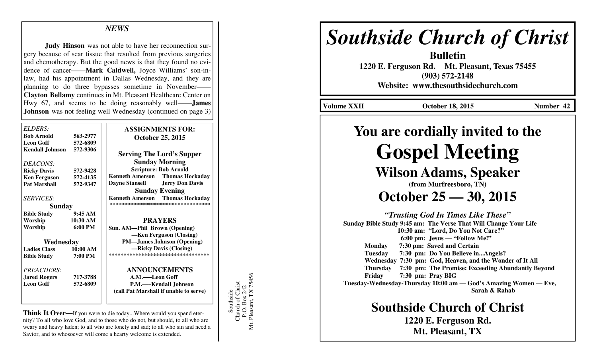#### *NEWS*

 **Judy Hinson** was not able to have her reconnection surgery because of scar tissue that resulted from previous surgeries and chemotherapy. But the good news is that they found no evidence of cancer——**Mark Caldwell,** Joyce Williams' son-inlaw, had his appointment in Dallas Wednesday, and they are planning to do three bypasses sometime in November— **Clayton Bellamy** continues in Mt. Pleasant Healthcare Center on — Hwy 67, and seems to be doing reasonably well——**James Johnson** was not feeling well Wednesday (continued on page 3)

| ELDERS:<br><b>ASSIGNMENTS FOR:</b><br><b>Bob Arnold</b><br>563-2977<br><b>October 25, 2015</b><br><b>Leon Goff</b><br>572-6809<br>Kendall Johnson<br>572-9306<br><b>Serving The Lord's Supper</b> |                        |
|---------------------------------------------------------------------------------------------------------------------------------------------------------------------------------------------------|------------------------|
|                                                                                                                                                                                                   |                        |
|                                                                                                                                                                                                   |                        |
|                                                                                                                                                                                                   |                        |
| <b>Sunday Morning</b><br>DEACONS:                                                                                                                                                                 |                        |
| <b>Scripture: Bob Arnold</b><br><b>Ricky Davis</b><br>572-9428                                                                                                                                    |                        |
| <b>Kenneth Amerson</b><br><b>Ken Ferguson</b><br>572-4135                                                                                                                                         | <b>Thomas Hockaday</b> |
| <b>Jerry Don Davis</b><br><b>Dayne Stansell</b><br><b>Pat Marshall</b><br>572-9347                                                                                                                |                        |
| <b>Sunday Evening</b>                                                                                                                                                                             |                        |
| <b>SERVICES:</b><br><b>Kenneth Amerson</b> Thomas Hockaday                                                                                                                                        |                        |
| ***********************************<br>Sunday                                                                                                                                                     |                        |
| 9:45AM<br><b>Bible Study</b>                                                                                                                                                                      |                        |
| Worship<br>10:30 AM<br><b>PRAYERS</b>                                                                                                                                                             |                        |
| $6:00 \text{ PM}$<br>Worship<br>Sun. AM—Phil Brown (Opening)                                                                                                                                      |                        |
| -Ken Ferguson (Closing)                                                                                                                                                                           |                        |
| <b>PM—James Johnson (Opening)</b><br>Wednesday                                                                                                                                                    |                        |
| -Ricky Davis (Closing)<br><b>Ladies Class</b><br>10:00 AM                                                                                                                                         |                        |
| ***********************************<br>7:00 PM<br><b>Bible Study</b>                                                                                                                              |                        |
| <b>ANNOUNCEMENTS</b><br>PREACHERS:                                                                                                                                                                |                        |
| A.M.—Leon Goff<br><b>Jared Rogers</b><br>717-3788                                                                                                                                                 |                        |
| <b>Leon Goff</b><br>572-6809<br>P.M.—–Kendall Johnson                                                                                                                                             |                        |
| (call Pat Marshall if unable to serve)                                                                                                                                                            |                        |
|                                                                                                                                                                                                   |                        |

**Think It Over—**If you were to die today...Where would you spend eternity? To all who love God, and to those who do not, but should, to all who are weary and heavy laden; to all who are lonely and sad; to all who sin and need a Savior, and to whosoever will come a hearty welcome is extended.

Southside<br>Church of Christ<br>P.O. Box 242<br>Mt. Pleasant, TX 75456 Mt. Pleasant, TX 75456 Church of Christ P.O. Box 242 Southside

# *Southside Church of Christ*

**Bulletin 1220 E. Ferguson Rd. Mt. Pleasant, Texas 75455 (903) 572-2148 Website: www.thesouthsidechurch.com** 

**Volume XXII October 18, 2015 Number 42** 

## **You are cordially invited to theGospel Meeting**

 **Wilson Adams, Speaker (from Murfreesboro, TN)**

**October 25 — 30, 2015** 

*"Trusting God In Times Like These"*   **Sunday Bible Study 9:45 am: The Verse That Will Change Your Life 10:30 am: "Lord, Do You Not Care?" 6:00 pm: Jesus — "Follow Me!" Monday 7:30 pm: Saved and Certain Tuesday 7:30 pm: Do You Believe in...Angels? Wednesday 7:30 pm: God, Heaven, and the Wonder of It All Thursday 7:30 pm: The Promise: Exceeding Abundantly Beyond Friday 7:30 pm: Pray BIG Tuesday-Wednesday-Thursday 10:00 am — God's Amazing Women — Eve,Sarah & Rahab** 

**Southside Church of Christ** 

**1220 E. Ferguson Rd. Mt. Pleasant, TX**